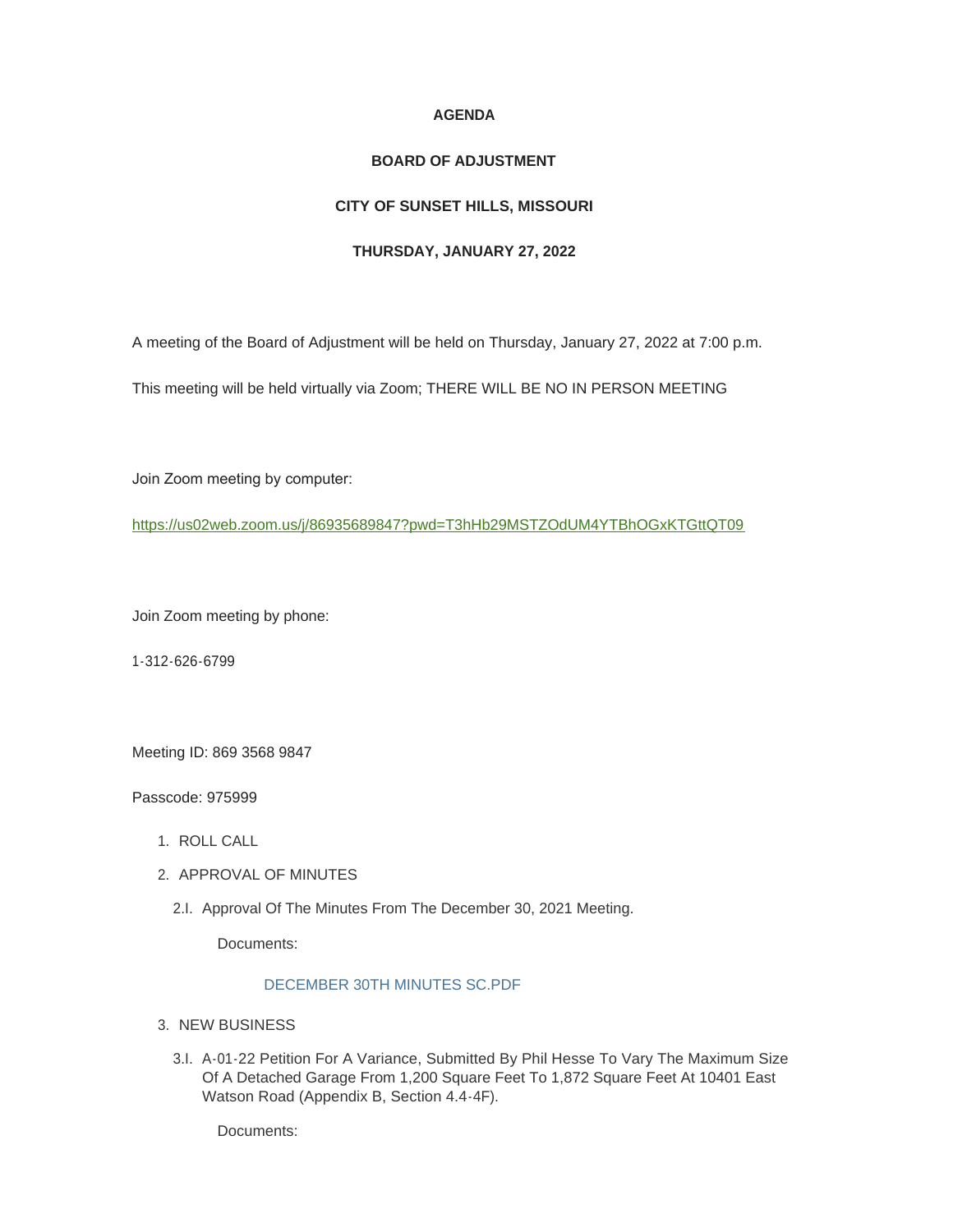### **AGENDA**

### **BOARD OF ADJUSTMENT**

# **CITY OF SUNSET HILLS, MISSOURI**

### **THURSDAY, JANUARY 27, 2022**

A meeting of the Board of Adjustment will be held on Thursday, January 27, 2022 at 7:00 p.m.

This meeting will be held virtually via Zoom; THERE WILL BE NO IN PERSON MEETING

Join Zoom meeting by computer:

<https://us02web.zoom.us/j/86935689847?pwd=T3hHb29MSTZOdUM4YTBhOGxKTGttQT09>

Join Zoom meeting by phone:

1-312-626-6799

Meeting ID: 869 3568 9847

Passcode: 975999

- 1. ROLL CALL
- 2. APPROVAL OF MINUTES
	- 2.I. Approval Of The Minutes From The December 30, 2021 Meeting.

Documents:

## [DECEMBER 30TH MINUTES SC.PDF](https://www.sunset-hills.com/AgendaCenter/ViewFile/Item/4076?fileID=28152)

- 3. NEW BUSINESS
	- A-01-22 Petition For A Variance, Submitted By Phil Hesse To Vary The Maximum Size 3.I. Of A Detached Garage From 1,200 Square Feet To 1,872 Square Feet At 10401 East Watson Road (Appendix B, Section 4.4-4F).

Documents: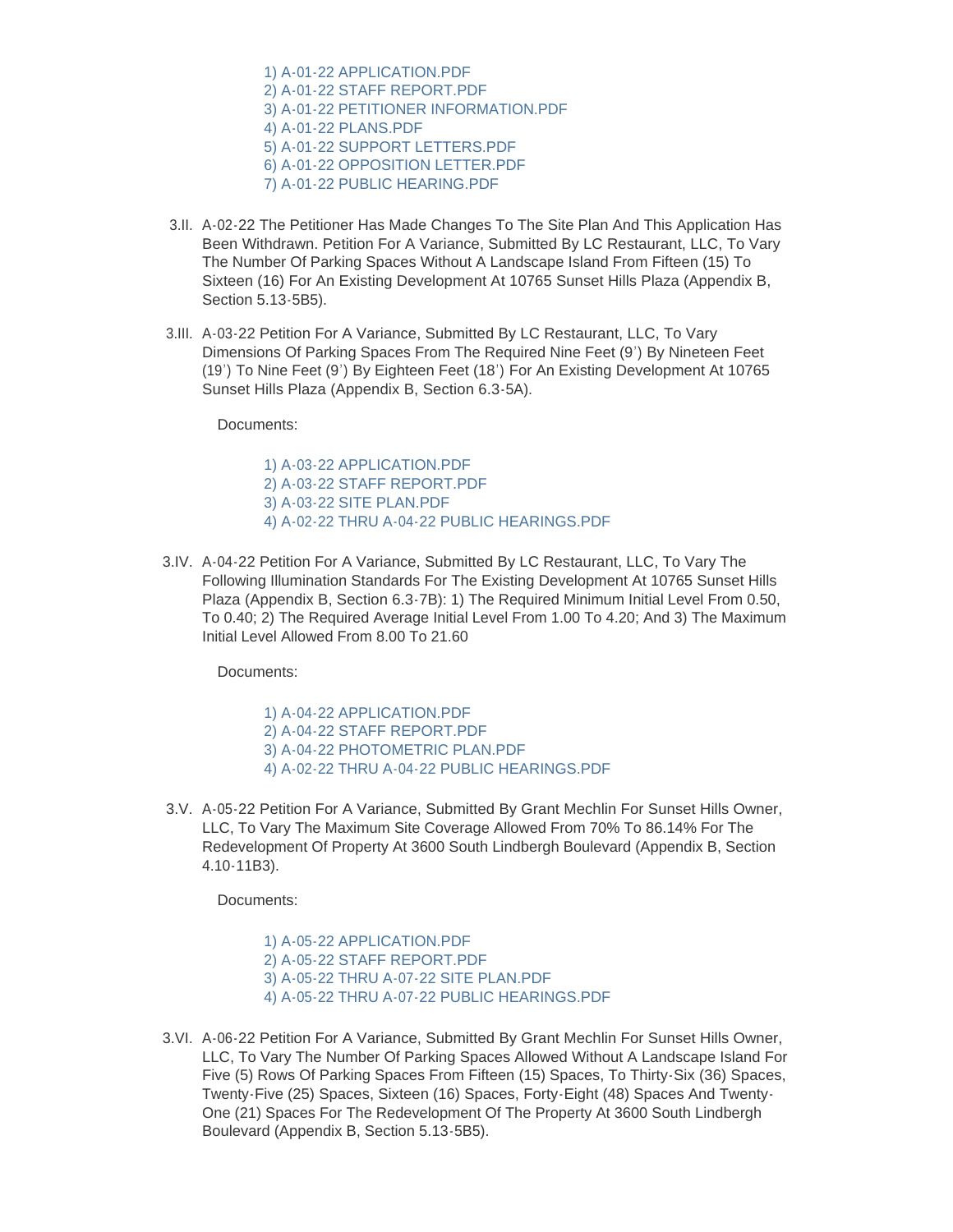[1\) A-01-22 APPLICATION.PDF](https://www.sunset-hills.com/AgendaCenter/ViewFile/Item/4075?fileID=28145) [2\) A-01-22 STAFF REPORT.PDF](https://www.sunset-hills.com/AgendaCenter/ViewFile/Item/4075?fileID=28146) [3\) A-01-22 PETITIONER INFORMATION.PDF](https://www.sunset-hills.com/AgendaCenter/ViewFile/Item/4075?fileID=28147) [4\) A-01-22 PLANS.PDF](https://www.sunset-hills.com/AgendaCenter/ViewFile/Item/4075?fileID=28148) [5\) A-01-22 SUPPORT LETTERS.PDF](https://www.sunset-hills.com/AgendaCenter/ViewFile/Item/4075?fileID=28149) [6\) A-01-22 OPPOSITION LETTER.PDF](https://www.sunset-hills.com/AgendaCenter/ViewFile/Item/4075?fileID=28150) [7\) A-01-22 PUBLIC HEARING.PDF](https://www.sunset-hills.com/AgendaCenter/ViewFile/Item/4075?fileID=28151)

- 3.II. A-02-22 The Petitioner Has Made Changes To The Site Plan And This Application Has Been Withdrawn. Petition For A Variance, Submitted By LC Restaurant, LLC, To Vary The Number Of Parking Spaces Without A Landscape Island From Fifteen (15) To Sixteen (16) For An Existing Development At 10765 Sunset Hills Plaza (Appendix B, Section 5.13-5B5).
- 3.III. A-03-22 Petition For A Variance, Submitted By LC Restaurant, LLC, To Vary Dimensions Of Parking Spaces From The Required Nine Feet (9') By Nineteen Feet (19') To Nine Feet (9') By Eighteen Feet (18') For An Existing Development At 10765 Sunset Hills Plaza (Appendix B, Section 6.3-5A).

Documents:

[1\) A-03-22 APPLICATION.PDF](https://www.sunset-hills.com/AgendaCenter/ViewFile/Item/4078?fileID=28153) [2\) A-03-22 STAFF REPORT.PDF](https://www.sunset-hills.com/AgendaCenter/ViewFile/Item/4078?fileID=28154) [3\) A-03-22 SITE PLAN.PDF](https://www.sunset-hills.com/AgendaCenter/ViewFile/Item/4078?fileID=28155) [4\) A-02-22 THRU A-04-22 PUBLIC HEARINGS.PDF](https://www.sunset-hills.com/AgendaCenter/ViewFile/Item/4078?fileID=28156)

3.IV. A-04-22 Petition For A Variance, Submitted By LC Restaurant, LLC, To Vary The Following Illumination Standards For The Existing Development At 10765 Sunset Hills Plaza (Appendix B, Section 6.3-7B): 1) The Required Minimum Initial Level From 0.50, To 0.40; 2) The Required Average Initial Level From 1.00 To 4.20; And 3) The Maximum Initial Level Allowed From 8.00 To 21.60

Documents:

[1\) A-04-22 APPLICATION.PDF](https://www.sunset-hills.com/AgendaCenter/ViewFile/Item/4079?fileID=28157) [2\) A-04-22 STAFF REPORT.PDF](https://www.sunset-hills.com/AgendaCenter/ViewFile/Item/4079?fileID=28158) [3\) A-04-22 PHOTOMETRIC PLAN.PDF](https://www.sunset-hills.com/AgendaCenter/ViewFile/Item/4079?fileID=28159) [4\) A-02-22 THRU A-04-22 PUBLIC HEARINGS.PDF](https://www.sunset-hills.com/AgendaCenter/ViewFile/Item/4079?fileID=28160)

3.V. A-05-22 Petition For A Variance, Submitted By Grant Mechlin For Sunset Hills Owner, LLC, To Vary The Maximum Site Coverage Allowed From 70% To 86.14% For The Redevelopment Of Property At 3600 South Lindbergh Boulevard (Appendix B, Section 4.10-11B3).

Documents:

[1\) A-05-22 APPLICATION.PDF](https://www.sunset-hills.com/AgendaCenter/ViewFile/Item/4080?fileID=28161) [2\) A-05-22 STAFF REPORT.PDF](https://www.sunset-hills.com/AgendaCenter/ViewFile/Item/4080?fileID=28162) [3\) A-05-22 THRU A-07-22 SITE PLAN.PDF](https://www.sunset-hills.com/AgendaCenter/ViewFile/Item/4080?fileID=28173) [4\) A-05-22 THRU A-07-22 PUBLIC HEARINGS.PDF](https://www.sunset-hills.com/AgendaCenter/ViewFile/Item/4080?fileID=28164)

3.VI. A-06-22 Petition For A Variance, Submitted By Grant Mechlin For Sunset Hills Owner, LLC, To Vary The Number Of Parking Spaces Allowed Without A Landscape Island For Five (5) Rows Of Parking Spaces From Fifteen (15) Spaces, To Thirty-Six (36) Spaces, Twenty-Five (25) Spaces, Sixteen (16) Spaces, Forty-Eight (48) Spaces And Twenty-One (21) Spaces For The Redevelopment Of The Property At 3600 South Lindbergh Boulevard (Appendix B, Section 5.13-5B5).